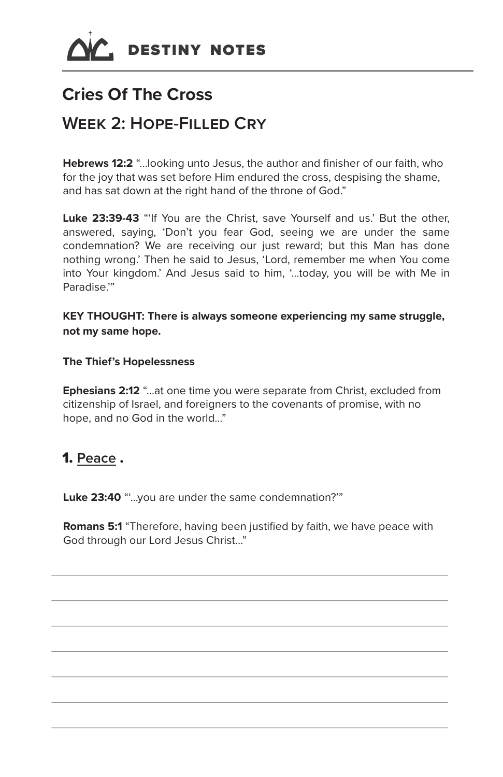

# **Cries Of The Cross**

## **Week 2: Hope-Filled Cry**

**Hebrews 12:2** "…looking unto Jesus, the author and finisher of our faith, who for the joy that was set before Him endured the cross, despising the shame, and has sat down at the right hand of the throne of God."

Luke 23:39-43 "If You are the Christ, save Yourself and us.' But the other, answered, saying, 'Don't you fear God, seeing we are under the same condemnation? We are receiving our just reward; but this Man has done nothing wrong.' Then he said to Jesus, 'Lord, remember me when You come into Your kingdom.' And Jesus said to him, '…today, you will be with Me in Paradise<sup>"</sup>

**KEY THOUGHT: There is always someone experiencing my same struggle, not my same hope.**

#### **The Thief's Hopelessness**

**Ephesians 2:12** "…at one time you were separate from Christ, excluded from citizenship of Israel, and foreigners to the covenants of promise, with no hope, and no God in the world…"

#### 1. **Peace** .

Luke 23:40 "...you are under the same condemnation?"

**Romans 5:1** "Therefore, having been justified by faith, we have peace with God through our Lord Jesus Christ…"